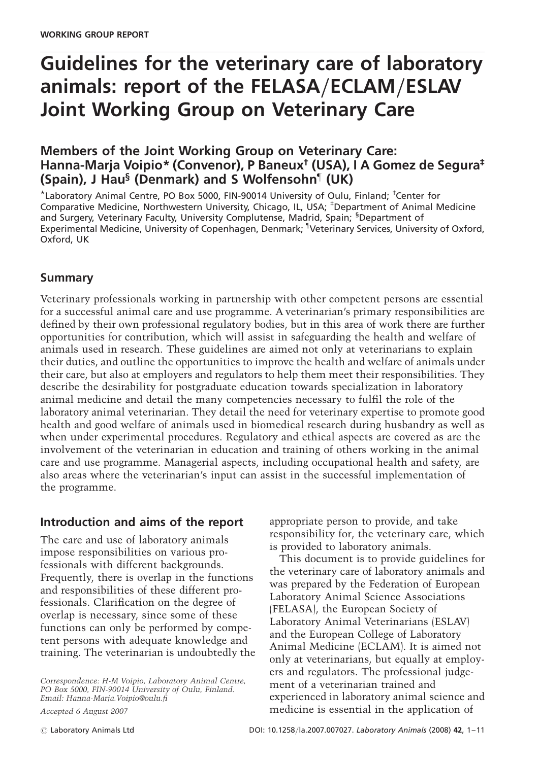# Guidelines for the veterinary care of laboratory animals: report of the FELASA/ECLAM/ESLAV Joint Working Group on Veterinary Care

# Members of the Joint Working Group on Veterinary Care: Hanna-Marja Voipio\* (Convenor), P Baneux† (USA), I A Gomez de Segura‡ (Spain), J Hau§ (Denmark) and S Wolfensohn} (UK)

\*Laboratory Animal Centre, PO Box 5000, FIN-90014 University of Oulu, Finland; † Center for Comparative Medicine, Northwestern University, Chicago, IL, USA; ‡ Department of Animal Medicine and Surgery, Veterinary Faculty, University Complutense, Madrid, Spain; <sup>§</sup>Department of Experimental Medicine, University of Copenhagen, Denmark; <sup>¶</sup>Veterinary Services, University of Oxford, Oxford, UK

# Summary

Veterinary professionals working in partnership with other competent persons are essential for a successful animal care and use programme. A veterinarian's primary responsibilities are defined by their own professional regulatory bodies, but in this area of work there are further opportunities for contribution, which will assist in safeguarding the health and welfare of animals used in research. These guidelines are aimed not only at veterinarians to explain their duties, and outline the opportunities to improve the health and welfare of animals under their care, but also at employers and regulators to help them meet their responsibilities. They describe the desirability for postgraduate education towards specialization in laboratory animal medicine and detail the many competencies necessary to fulfil the role of the laboratory animal veterinarian. They detail the need for veterinary expertise to promote good health and good welfare of animals used in biomedical research during husbandry as well as when under experimental procedures. Regulatory and ethical aspects are covered as are the involvement of the veterinarian in education and training of others working in the animal care and use programme. Managerial aspects, including occupational health and safety, are also areas where the veterinarian's input can assist in the successful implementation of the programme.

### Introduction and aims of the report

The care and use of laboratory animals impose responsibilities on various professionals with different backgrounds. Frequently, there is overlap in the functions and responsibilities of these different professionals. Clarification on the degree of overlap is necessary, since some of these functions can only be performed by competent persons with adequate knowledge and training. The veterinarian is undoubtedly the

Correspondence: H-M Voipio, Laboratory Animal Centre, PO Box 5000, FIN-90014 University of Oulu, Finland. Email: Hanna-Marja.Voipio@oulu.fi

Accepted 6 August 2007

appropriate person to provide, and take responsibility for, the veterinary care, which is provided to laboratory animals.

This document is to provide guidelines for the veterinary care of laboratory animals and was prepared by the Federation of European Laboratory Animal Science Associations (FELASA), the European Society of Laboratory Animal Veterinarians (ESLAV) and the European College of Laboratory Animal Medicine (ECLAM). It is aimed not only at veterinarians, but equally at employers and regulators. The professional judgement of a veterinarian trained and experienced in laboratory animal science and medicine is essential in the application of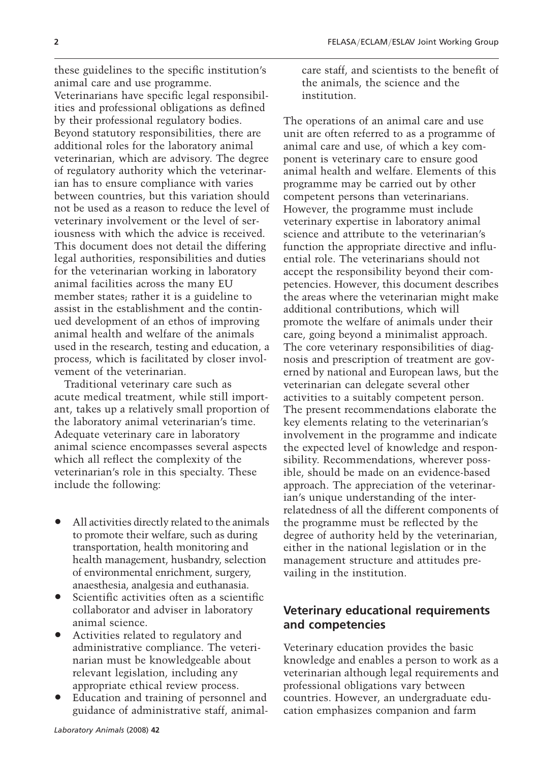these guidelines to the specific institution's animal care and use programme. Veterinarians have specific legal responsibilities and professional obligations as defined by their professional regulatory bodies. Beyond statutory responsibilities, there are additional roles for the laboratory animal veterinarian, which are advisory. The degree of regulatory authority which the veterinarian has to ensure compliance with varies between countries, but this variation should not be used as a reason to reduce the level of veterinary involvement or the level of seriousness with which the advice is received. This document does not detail the differing legal authorities, responsibilities and duties for the veterinarian working in laboratory animal facilities across the many EU member states; rather it is a guideline to assist in the establishment and the continued development of an ethos of improving animal health and welfare of the animals used in the research, testing and education, a process, which is facilitated by closer involvement of the veterinarian.

Traditional veterinary care such as acute medical treatment, while still important, takes up a relatively small proportion of the laboratory animal veterinarian's time. Adequate veterinary care in laboratory animal science encompasses several aspects which all reflect the complexity of the veterinarian's role in this specialty. These include the following:

- All activities directly related to the animals to promote their welfare, such as during transportation, health monitoring and health management, husbandry, selection of environmental enrichment, surgery, anaesthesia, analgesia and euthanasia.
- Scientific activities often as a scientific collaborator and adviser in laboratory animal science.
- † Activities related to regulatory and administrative compliance. The veterinarian must be knowledgeable about relevant legislation, including any appropriate ethical review process.
- † Education and training of personnel and guidance of administrative staff, animal-

care staff, and scientists to the benefit of the animals, the science and the institution.

The operations of an animal care and use unit are often referred to as a programme of animal care and use, of which a key component is veterinary care to ensure good animal health and welfare. Elements of this programme may be carried out by other competent persons than veterinarians. However, the programme must include veterinary expertise in laboratory animal science and attribute to the veterinarian's function the appropriate directive and influential role. The veterinarians should not accept the responsibility beyond their competencies. However, this document describes the areas where the veterinarian might make additional contributions, which will promote the welfare of animals under their care, going beyond a minimalist approach. The core veterinary responsibilities of diagnosis and prescription of treatment are governed by national and European laws, but the veterinarian can delegate several other activities to a suitably competent person. The present recommendations elaborate the key elements relating to the veterinarian's involvement in the programme and indicate the expected level of knowledge and responsibility. Recommendations, wherever possible, should be made on an evidence-based approach. The appreciation of the veterinarian's unique understanding of the interrelatedness of all the different components of the programme must be reflected by the degree of authority held by the veterinarian, either in the national legislation or in the management structure and attitudes prevailing in the institution.

#### Veterinary educational requirements and competencies

Veterinary education provides the basic knowledge and enables a person to work as a veterinarian although legal requirements and professional obligations vary between countries. However, an undergraduate education emphasizes companion and farm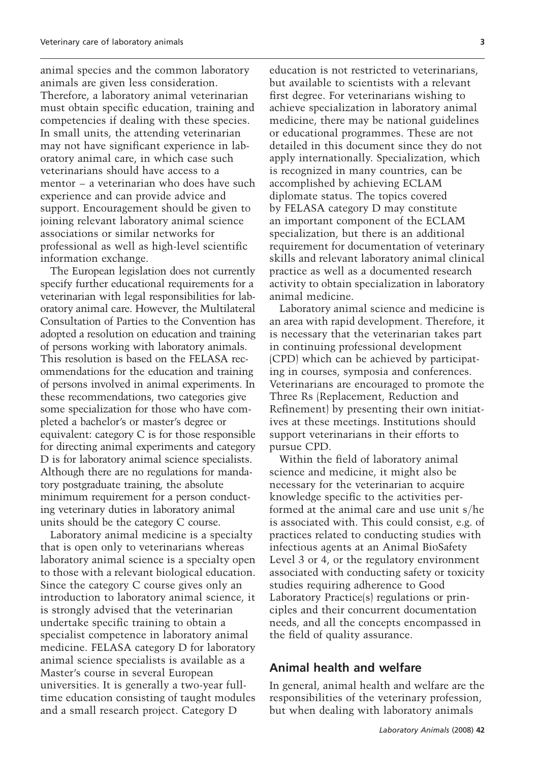animal species and the common laboratory animals are given less consideration. Therefore, a laboratory animal veterinarian must obtain specific education, training and competencies if dealing with these species. In small units, the attending veterinarian may not have significant experience in laboratory animal care, in which case such veterinarians should have access to a mentor – a veterinarian who does have such experience and can provide advice and support. Encouragement should be given to joining relevant laboratory animal science associations or similar networks for professional as well as high-level scientific information exchange.

The European legislation does not currently specify further educational requirements for a veterinarian with legal responsibilities for laboratory animal care. However, the Multilateral Consultation of Parties to the Convention has adopted a resolution on education and training of persons working with laboratory animals. This resolution is based on the FELASA recommendations for the education and training of persons involved in animal experiments. In these recommendations, two categories give some specialization for those who have completed a bachelor's or master's degree or equivalent: category C is for those responsible for directing animal experiments and category D is for laboratory animal science specialists. Although there are no regulations for mandatory postgraduate training, the absolute minimum requirement for a person conducting veterinary duties in laboratory animal units should be the category C course.

Laboratory animal medicine is a specialty that is open only to veterinarians whereas laboratory animal science is a specialty open to those with a relevant biological education. Since the category C course gives only an introduction to laboratory animal science, it is strongly advised that the veterinarian undertake specific training to obtain a specialist competence in laboratory animal medicine. FELASA category D for laboratory animal science specialists is available as a Master's course in several European universities. It is generally a two-year fulltime education consisting of taught modules and a small research project. Category D

education is not restricted to veterinarians, but available to scientists with a relevant first degree. For veterinarians wishing to achieve specialization in laboratory animal medicine, there may be national guidelines or educational programmes. These are not detailed in this document since they do not apply internationally. Specialization, which is recognized in many countries, can be accomplished by achieving ECLAM diplomate status. The topics covered by FELASA category D may constitute an important component of the ECLAM specialization, but there is an additional requirement for documentation of veterinary skills and relevant laboratory animal clinical practice as well as a documented research activity to obtain specialization in laboratory animal medicine.

Laboratory animal science and medicine is an area with rapid development. Therefore, it is necessary that the veterinarian takes part in continuing professional development (CPD) which can be achieved by participating in courses, symposia and conferences. Veterinarians are encouraged to promote the Three Rs (Replacement, Reduction and Refinement) by presenting their own initiatives at these meetings. Institutions should support veterinarians in their efforts to pursue CPD.

Within the field of laboratory animal science and medicine, it might also be necessary for the veterinarian to acquire knowledge specific to the activities performed at the animal care and use unit s/he is associated with. This could consist, e.g. of practices related to conducting studies with infectious agents at an Animal BioSafety Level 3 or 4, or the regulatory environment associated with conducting safety or toxicity studies requiring adherence to Good Laboratory Practice(s) regulations or principles and their concurrent documentation needs, and all the concepts encompassed in the field of quality assurance.

#### Animal health and welfare

In general, animal health and welfare are the responsibilities of the veterinary profession, but when dealing with laboratory animals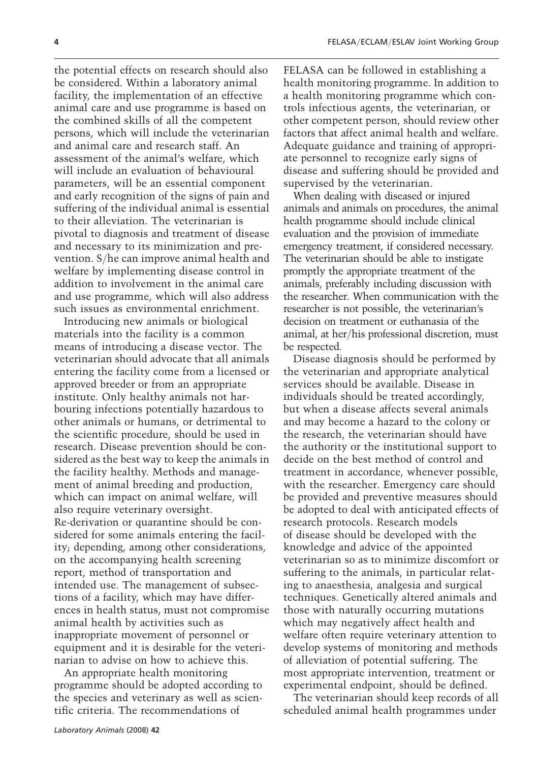the potential effects on research should also be considered. Within a laboratory animal facility, the implementation of an effective animal care and use programme is based on the combined skills of all the competent persons, which will include the veterinarian and animal care and research staff. An assessment of the animal's welfare, which will include an evaluation of behavioural parameters, will be an essential component and early recognition of the signs of pain and suffering of the individual animal is essential to their alleviation. The veterinarian is pivotal to diagnosis and treatment of disease and necessary to its minimization and prevention. S/he can improve animal health and welfare by implementing disease control in addition to involvement in the animal care and use programme, which will also address such issues as environmental enrichment.

Introducing new animals or biological materials into the facility is a common means of introducing a disease vector. The veterinarian should advocate that all animals entering the facility come from a licensed or approved breeder or from an appropriate institute. Only healthy animals not harbouring infections potentially hazardous to other animals or humans, or detrimental to the scientific procedure, should be used in research. Disease prevention should be considered as the best way to keep the animals in the facility healthy. Methods and management of animal breeding and production, which can impact on animal welfare, will also require veterinary oversight. Re-derivation or quarantine should be considered for some animals entering the facility; depending, among other considerations, on the accompanying health screening report, method of transportation and intended use. The management of subsections of a facility, which may have differences in health status, must not compromise animal health by activities such as inappropriate movement of personnel or equipment and it is desirable for the veterinarian to advise on how to achieve this.

An appropriate health monitoring programme should be adopted according to the species and veterinary as well as scientific criteria. The recommendations of

FELASA can be followed in establishing a health monitoring programme. In addition to a health monitoring programme which controls infectious agents, the veterinarian, or other competent person, should review other factors that affect animal health and welfare. Adequate guidance and training of appropriate personnel to recognize early signs of disease and suffering should be provided and supervised by the veterinarian.

When dealing with diseased or injured animals and animals on procedures, the animal health programme should include clinical evaluation and the provision of immediate emergency treatment, if considered necessary. The veterinarian should be able to instigate promptly the appropriate treatment of the animals, preferably including discussion with the researcher. When communication with the researcher is not possible, the veterinarian's decision on treatment or euthanasia of the animal, at her/his professional discretion, must be respected.

Disease diagnosis should be performed by the veterinarian and appropriate analytical services should be available. Disease in individuals should be treated accordingly, but when a disease affects several animals and may become a hazard to the colony or the research, the veterinarian should have the authority or the institutional support to decide on the best method of control and treatment in accordance, whenever possible, with the researcher. Emergency care should be provided and preventive measures should be adopted to deal with anticipated effects of research protocols. Research models of disease should be developed with the knowledge and advice of the appointed veterinarian so as to minimize discomfort or suffering to the animals, in particular relating to anaesthesia, analgesia and surgical techniques. Genetically altered animals and those with naturally occurring mutations which may negatively affect health and welfare often require veterinary attention to develop systems of monitoring and methods of alleviation of potential suffering. The most appropriate intervention, treatment or experimental endpoint, should be defined.

The veterinarian should keep records of all scheduled animal health programmes under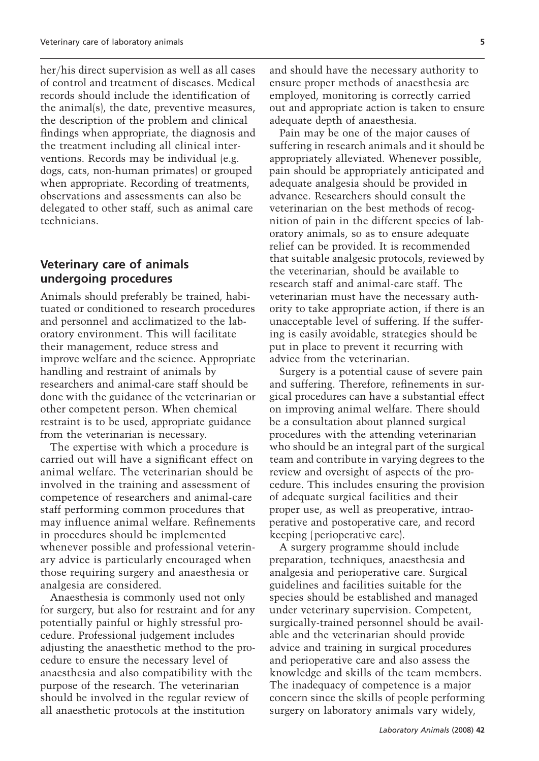her/his direct supervision as well as all cases of control and treatment of diseases. Medical records should include the identification of the animal(s), the date, preventive measures, the description of the problem and clinical findings when appropriate, the diagnosis and the treatment including all clinical interventions. Records may be individual (e.g. dogs, cats, non-human primates) or grouped when appropriate. Recording of treatments, observations and assessments can also be delegated to other staff, such as animal care technicians.

#### Veterinary care of animals undergoing procedures

Animals should preferably be trained, habituated or conditioned to research procedures and personnel and acclimatized to the laboratory environment. This will facilitate their management, reduce stress and improve welfare and the science. Appropriate handling and restraint of animals by researchers and animal-care staff should be done with the guidance of the veterinarian or other competent person. When chemical restraint is to be used, appropriate guidance from the veterinarian is necessary.

The expertise with which a procedure is carried out will have a significant effect on animal welfare. The veterinarian should be involved in the training and assessment of competence of researchers and animal-care staff performing common procedures that may influence animal welfare. Refinements in procedures should be implemented whenever possible and professional veterinary advice is particularly encouraged when those requiring surgery and anaesthesia or analgesia are considered.

Anaesthesia is commonly used not only for surgery, but also for restraint and for any potentially painful or highly stressful procedure. Professional judgement includes adjusting the anaesthetic method to the procedure to ensure the necessary level of anaesthesia and also compatibility with the purpose of the research. The veterinarian should be involved in the regular review of all anaesthetic protocols at the institution

and should have the necessary authority to ensure proper methods of anaesthesia are employed, monitoring is correctly carried out and appropriate action is taken to ensure adequate depth of anaesthesia.

Pain may be one of the major causes of suffering in research animals and it should be appropriately alleviated. Whenever possible, pain should be appropriately anticipated and adequate analgesia should be provided in advance. Researchers should consult the veterinarian on the best methods of recognition of pain in the different species of laboratory animals, so as to ensure adequate relief can be provided. It is recommended that suitable analgesic protocols, reviewed by the veterinarian, should be available to research staff and animal-care staff. The veterinarian must have the necessary authority to take appropriate action, if there is an unacceptable level of suffering. If the suffering is easily avoidable, strategies should be put in place to prevent it recurring with advice from the veterinarian.

Surgery is a potential cause of severe pain and suffering. Therefore, refinements in surgical procedures can have a substantial effect on improving animal welfare. There should be a consultation about planned surgical procedures with the attending veterinarian who should be an integral part of the surgical team and contribute in varying degrees to the review and oversight of aspects of the procedure. This includes ensuring the provision of adequate surgical facilities and their proper use, as well as preoperative, intraoperative and postoperative care, and record keeping (perioperative care).

A surgery programme should include preparation, techniques, anaesthesia and analgesia and perioperative care. Surgical guidelines and facilities suitable for the species should be established and managed under veterinary supervision. Competent, surgically-trained personnel should be available and the veterinarian should provide advice and training in surgical procedures and perioperative care and also assess the knowledge and skills of the team members. The inadequacy of competence is a major concern since the skills of people performing surgery on laboratory animals vary widely,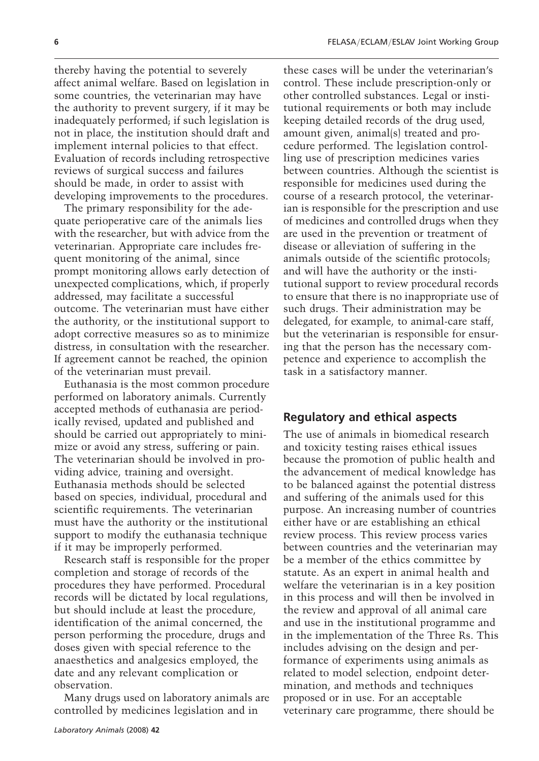thereby having the potential to severely affect animal welfare. Based on legislation in some countries, the veterinarian may have the authority to prevent surgery, if it may be inadequately performed; if such legislation is not in place, the institution should draft and implement internal policies to that effect. Evaluation of records including retrospective reviews of surgical success and failures should be made, in order to assist with developing improvements to the procedures.

The primary responsibility for the adequate perioperative care of the animals lies with the researcher, but with advice from the veterinarian. Appropriate care includes frequent monitoring of the animal, since prompt monitoring allows early detection of unexpected complications, which, if properly addressed, may facilitate a successful outcome. The veterinarian must have either the authority, or the institutional support to adopt corrective measures so as to minimize distress, in consultation with the researcher. If agreement cannot be reached, the opinion of the veterinarian must prevail.

Euthanasia is the most common procedure performed on laboratory animals. Currently accepted methods of euthanasia are periodically revised, updated and published and should be carried out appropriately to minimize or avoid any stress, suffering or pain. The veterinarian should be involved in providing advice, training and oversight. Euthanasia methods should be selected based on species, individual, procedural and scientific requirements. The veterinarian must have the authority or the institutional support to modify the euthanasia technique if it may be improperly performed.

Research staff is responsible for the proper completion and storage of records of the procedures they have performed. Procedural records will be dictated by local regulations, but should include at least the procedure, identification of the animal concerned, the person performing the procedure, drugs and doses given with special reference to the anaesthetics and analgesics employed, the date and any relevant complication or observation.

Many drugs used on laboratory animals are controlled by medicines legislation and in

these cases will be under the veterinarian's control. These include prescription-only or other controlled substances. Legal or institutional requirements or both may include keeping detailed records of the drug used, amount given, animal(s) treated and procedure performed. The legislation controlling use of prescription medicines varies between countries. Although the scientist is responsible for medicines used during the course of a research protocol, the veterinarian is responsible for the prescription and use of medicines and controlled drugs when they are used in the prevention or treatment of disease or alleviation of suffering in the animals outside of the scientific protocols; and will have the authority or the institutional support to review procedural records to ensure that there is no inappropriate use of such drugs. Their administration may be delegated, for example, to animal-care staff, but the veterinarian is responsible for ensuring that the person has the necessary competence and experience to accomplish the task in a satisfactory manner.

#### Regulatory and ethical aspects

The use of animals in biomedical research and toxicity testing raises ethical issues because the promotion of public health and the advancement of medical knowledge has to be balanced against the potential distress and suffering of the animals used for this purpose. An increasing number of countries either have or are establishing an ethical review process. This review process varies between countries and the veterinarian may be a member of the ethics committee by statute. As an expert in animal health and welfare the veterinarian is in a key position in this process and will then be involved in the review and approval of all animal care and use in the institutional programme and in the implementation of the Three Rs. This includes advising on the design and performance of experiments using animals as related to model selection, endpoint determination, and methods and techniques proposed or in use. For an acceptable veterinary care programme, there should be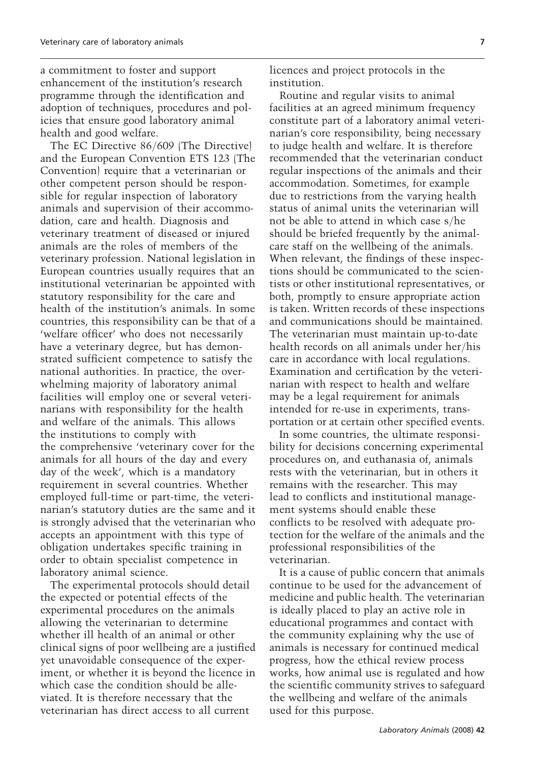a commitment to foster and support enhancement of the institution's research programme through the identification and adoption of techniques, procedures and policies that ensure good laboratory animal health and good welfare.

The EC Directive 86/609 (The Directive) and the European Convention ETS 123 (The Convention) require that a veterinarian or other competent person should be responsible for regular inspection of laboratory animals and supervision of their accommodation, care and health. Diagnosis and veterinary treatment of diseased or injured animals are the roles of members of the veterinary profession. National legislation in European countries usually requires that an institutional veterinarian be appointed with statutory responsibility for the care and health of the institution's animals. In some countries, this responsibility can be that of a 'welfare officer' who does not necessarily have a veterinary degree, but has demonstrated sufficient competence to satisfy the national authorities. In practice, the overwhelming majority of laboratory animal facilities will employ one or several veterinarians with responsibility for the health and welfare of the animals. This allows the institutions to comply with the comprehensive 'veterinary cover for the animals for all hours of the day and every day of the week', which is a mandatory requirement in several countries. Whether employed full-time or part-time, the veterinarian's statutory duties are the same and it is strongly advised that the veterinarian who accepts an appointment with this type of obligation undertakes specific training in order to obtain specialist competence in laboratory animal science.

The experimental protocols should detail the expected or potential effects of the experimental procedures on the animals allowing the veterinarian to determine whether ill health of an animal or other clinical signs of poor wellbeing are a justified yet unavoidable consequence of the experiment, or whether it is beyond the licence in which case the condition should be alleviated. It is therefore necessary that the veterinarian has direct access to all current

licences and project protocols in the institution.

Routine and regular visits to animal facilities at an agreed minimum frequency constitute part of a laboratory animal veterinarian's core responsibility, being necessary to judge health and welfare. It is therefore recommended that the veterinarian conduct regular inspections of the animals and their accommodation. Sometimes, for example due to restrictions from the varying health status of animal units the veterinarian will not be able to attend in which case s/he should be briefed frequently by the animalcare staff on the wellbeing of the animals. When relevant, the findings of these inspections should be communicated to the scientists or other institutional representatives, or both, promptly to ensure appropriate action is taken. Written records of these inspections and communications should be maintained. The veterinarian must maintain up-to-date health records on all animals under her/his care in accordance with local regulations. Examination and certification by the veterinarian with respect to health and welfare may be a legal requirement for animals intended for re-use in experiments, transportation or at certain other specified events.

In some countries, the ultimate responsibility for decisions concerning experimental procedures on, and euthanasia of, animals rests with the veterinarian, but in others it remains with the researcher. This may lead to conflicts and institutional management systems should enable these conflicts to be resolved with adequate protection for the welfare of the animals and the professional responsibilities of the veterinarian.

It is a cause of public concern that animals continue to be used for the advancement of medicine and public health. The veterinarian is ideally placed to play an active role in educational programmes and contact with the community explaining why the use of animals is necessary for continued medical progress, how the ethical review process works, how animal use is regulated and how the scientific community strives to safeguard the wellbeing and welfare of the animals used for this purpose.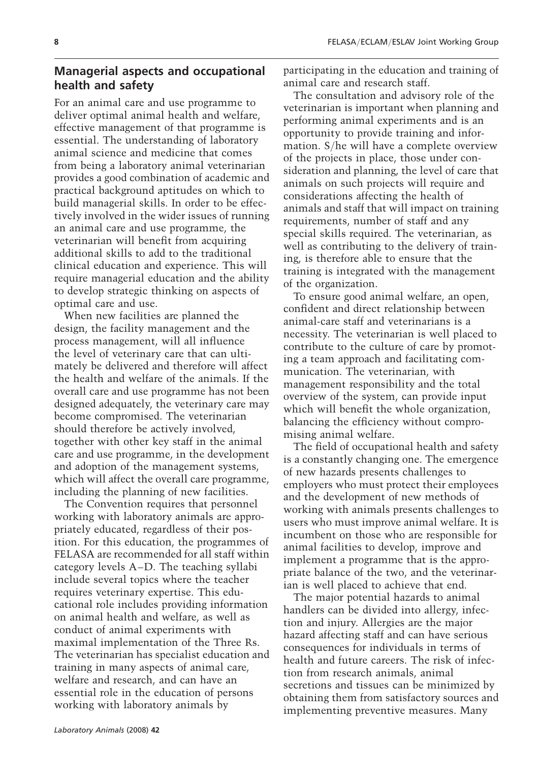#### Managerial aspects and occupational health and safety

For an animal care and use programme to deliver optimal animal health and welfare, effective management of that programme is essential. The understanding of laboratory animal science and medicine that comes from being a laboratory animal veterinarian provides a good combination of academic and practical background aptitudes on which to build managerial skills. In order to be effectively involved in the wider issues of running an animal care and use programme, the veterinarian will benefit from acquiring additional skills to add to the traditional clinical education and experience. This will require managerial education and the ability to develop strategic thinking on aspects of optimal care and use.

When new facilities are planned the design, the facility management and the process management, will all influence the level of veterinary care that can ultimately be delivered and therefore will affect the health and welfare of the animals. If the overall care and use programme has not been designed adequately, the veterinary care may become compromised. The veterinarian should therefore be actively involved, together with other key staff in the animal care and use programme, in the development and adoption of the management systems, which will affect the overall care programme, including the planning of new facilities.

The Convention requires that personnel working with laboratory animals are appropriately educated, regardless of their position. For this education, the programmes of FELASA are recommended for all staff within category levels A–D. The teaching syllabi include several topics where the teacher requires veterinary expertise. This educational role includes providing information on animal health and welfare, as well as conduct of animal experiments with maximal implementation of the Three Rs. The veterinarian has specialist education and training in many aspects of animal care, welfare and research, and can have an essential role in the education of persons working with laboratory animals by

participating in the education and training of animal care and research staff.

The consultation and advisory role of the veterinarian is important when planning and performing animal experiments and is an opportunity to provide training and information. S/he will have a complete overview of the projects in place, those under consideration and planning, the level of care that animals on such projects will require and considerations affecting the health of animals and staff that will impact on training requirements, number of staff and any special skills required. The veterinarian, as well as contributing to the delivery of training, is therefore able to ensure that the training is integrated with the management of the organization.

To ensure good animal welfare, an open, confident and direct relationship between animal-care staff and veterinarians is a necessity. The veterinarian is well placed to contribute to the culture of care by promoting a team approach and facilitating communication. The veterinarian, with management responsibility and the total overview of the system, can provide input which will benefit the whole organization, balancing the efficiency without compromising animal welfare.

The field of occupational health and safety is a constantly changing one. The emergence of new hazards presents challenges to employers who must protect their employees and the development of new methods of working with animals presents challenges to users who must improve animal welfare. It is incumbent on those who are responsible for animal facilities to develop, improve and implement a programme that is the appropriate balance of the two, and the veterinarian is well placed to achieve that end.

The major potential hazards to animal handlers can be divided into allergy, infection and injury. Allergies are the major hazard affecting staff and can have serious consequences for individuals in terms of health and future careers. The risk of infection from research animals, animal secretions and tissues can be minimized by obtaining them from satisfactory sources and implementing preventive measures. Many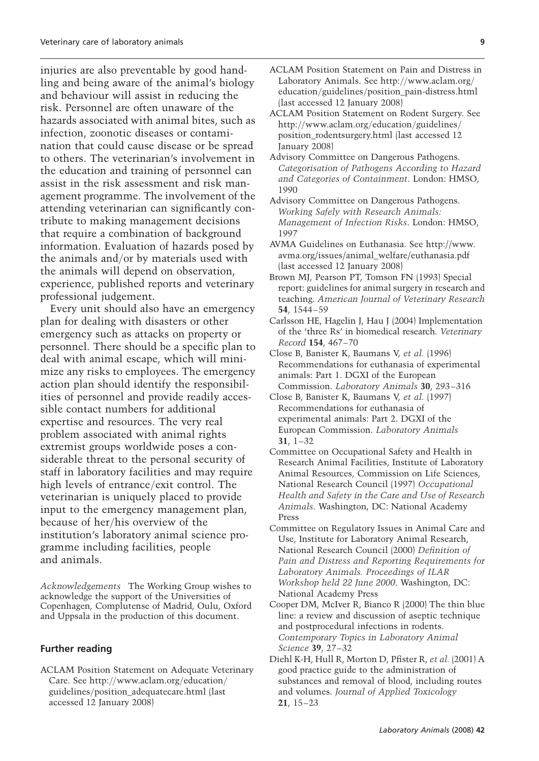injuries are also preventable by good handling and being aware of the animal's biology and behaviour will assist in reducing the risk. Personnel are often unaware of the hazards associated with animal bites, such as infection, zoonotic diseases or contamination that could cause disease or be spread to others. The veterinarian's involvement in the education and training of personnel can assist in the risk assessment and risk management programme. The involvement of the attending veterinarian can significantly contribute to making management decisions that require a combination of background information. Evaluation of hazards posed by the animals and/or by materials used with the animals will depend on observation, experience, published reports and veterinary professional judgement.

Every unit should also have an emergency plan for dealing with disasters or other emergency such as attacks on property or personnel. There should be a specific plan to deal with animal escape, which will minimize any risks to employees. The emergency action plan should identify the responsibilities of personnel and provide readily accessible contact numbers for additional expertise and resources. The very real problem associated with animal rights extremist groups worldwide poses a considerable threat to the personal security of staff in laboratory facilities and may require high levels of entrance/exit control. The veterinarian is uniquely placed to provide input to the emergency management plan, because of her/his overview of the institution's laboratory animal science programme including facilities, people and animals.

Acknowledgements The Working Group wishes to acknowledge the support of the Universities of Copenhagen, Complutense of Madrid, Oulu, Oxford and Uppsala in the production of this document.

#### Further reading

ACLAM Position Statement on Adequate Veterinary Care. See http://www.aclam.org/education/ guidelines/position\_adequatecare.html (last accessed 12 January 2008)

- ACLAM Position Statement on Pain and Distress in Laboratory Animals. See http://www.aclam.org/ education/guidelines/position\_pain-distress.html (last accessed 12 January 2008)
- ACLAM Position Statement on Rodent Surgery. See http://www.aclam.org/education/guidelines/ position\_rodentsurgery.html (last accessed 12 January 2008)
- Advisory Committee on Dangerous Pathogens. Categorisation of Pathogens According to Hazard and Categories of Containment. London: HMSO, 1990
- Advisory Committee on Dangerous Pathogens. Working Safely with Research Animals: Management of Infection Risks. London: HMSO, 1997
- AVMA Guidelines on Euthanasia. See http://www. avma.org/issues/animal\_welfare/euthanasia.pdf (last accessed 12 January 2008)
- Brown MJ, Pearson PT, Tomson FN (1993) Special report: guidelines for animal surgery in research and teaching. American Journal of Veterinary Research 54, 1544–59
- Carlsson HE, Hagelin J, Hau J (2004) Implementation of the 'three Rs' in biomedical research. Veterinary Record 154, 467–70
- Close B, Banister K, Baumans V, et al. (1996) Recommendations for euthanasia of experimental animals: Part 1. DGXI of the European Commission. Laboratory Animals 30, 293–316
- Close B, Banister K, Baumans V, et al. (1997) Recommendations for euthanasia of experimental animals: Part 2. DGXI of the European Commission. Laboratory Animals 31, 1–32
- Committee on Occupational Safety and Health in Research Animal Facilities, Institute of Laboratory Animal Resources, Commission on Life Sciences, National Research Council (1997) Occupational Health and Safety in the Care and Use of Research Animals. Washington, DC: National Academy Press
- Committee on Regulatory Issues in Animal Care and Use, Institute for Laboratory Animal Research, National Research Council (2000) Definition of Pain and Distress and Reporting Requirements for Laboratory Animals. Proceedings of ILAR Workshop held 22 June 2000. Washington, DC: National Academy Press
- Cooper DM, McIver R, Bianco R (2000) The thin blue line: a review and discussion of aseptic technique and postprocedural infections in rodents. Contemporary Topics in Laboratory Animal Science 39, 27–32
- Diehl K-H, Hull R, Morton D, Pfister R, et al. (2001) A good practice guide to the administration of substances and removal of blood, including routes and volumes. Journal of Applied Toxicology 21, 15–23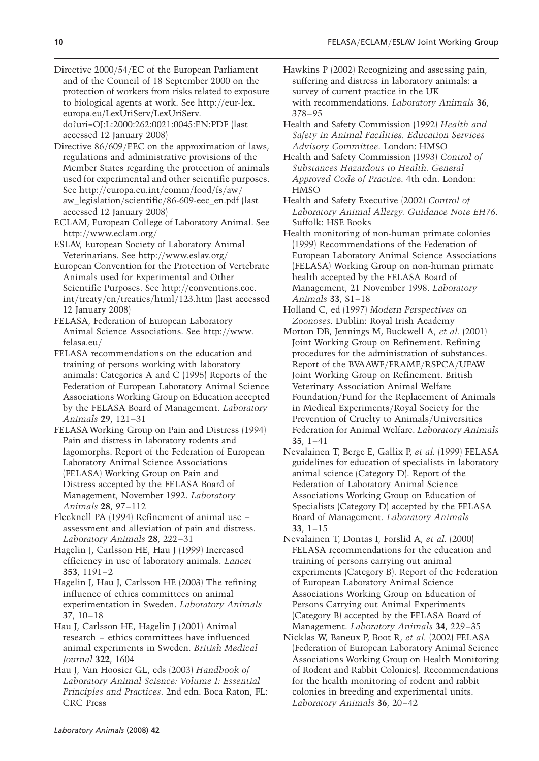- Directive 2000/54/EC of the European Parliament and of the Council of 18 September 2000 on the protection of workers from risks related to exposure to biological agents at work. See http://eur-lex. europa.eu/LexUriServ/LexUriServ. do?uri=OJ:L:2000:262:0021:0045:EN:PDF (last accessed 12 January 2008)
- Directive 86/609/EEC on the approximation of laws, regulations and administrative provisions of the Member States regarding the protection of animals used for experimental and other scientific purposes. See http://europa.eu.int/comm/food/fs/aw/ aw\_legislation/scientific/86-609-eec\_en.pdf (last accessed 12 January 2008)
- ECLAM, European College of Laboratory Animal. See http://www.eclam.org/
- ESLAV, European Society of Laboratory Animal Veterinarians. See http://www.eslav.org/
- European Convention for the Protection of Vertebrate Animals used for Experimental and Other Scientific Purposes. See http://conventions.coe. int/treaty/en/treaties/html/123.htm (last accessed 12 January 2008)
- FELASA, Federation of European Laboratory Animal Science Associations. See http://www. felasa.eu/
- FELASA recommendations on the education and training of persons working with laboratory animals: Categories A and C (1995) Reports of the Federation of European Laboratory Animal Science Associations Working Group on Education accepted by the FELASA Board of Management. Laboratory Animals 29, 121–31
- FELASA Working Group on Pain and Distress (1994) Pain and distress in laboratory rodents and lagomorphs. Report of the Federation of European Laboratory Animal Science Associations (FELASA) Working Group on Pain and Distress accepted by the FELASA Board of Management, November 1992. Laboratory Animals 28, 97–112
- Flecknell PA (1994) Refinement of animal use assessment and alleviation of pain and distress. Laboratory Animals 28, 222–31
- Hagelin J, Carlsson HE, Hau J (1999) Increased efficiency in use of laboratory animals. Lancet 353, 1191–2
- Hagelin J, Hau J, Carlsson HE (2003) The refining influence of ethics committees on animal experimentation in Sweden. Laboratory Animals 37, 10–18
- Hau J, Carlsson HE, Hagelin J (2001) Animal research – ethics committees have influenced animal experiments in Sweden. British Medical Journal 322, 1604
- Hau J, Van Hoosier GL, eds (2003) Handbook of Laboratory Animal Science: Volume I: Essential Principles and Practices. 2nd edn. Boca Raton, FL: CRC Press
- Hawkins P (2002) Recognizing and assessing pain, suffering and distress in laboratory animals: a survey of current practice in the UK with recommendations. Laboratory Animals 36, 378–95
- Health and Safety Commission (1992) Health and Safety in Animal Facilities. Education Services Advisory Committee. London: HMSO
- Health and Safety Commission (1993) Control of Substances Hazardous to Health. General Approved Code of Practice. 4th edn. London: **HMSO**
- Health and Safety Executive (2002) Control of Laboratory Animal Allergy. Guidance Note EH76. Suffolk: HSE Books
- Health monitoring of non-human primate colonies (1999) Recommendations of the Federation of European Laboratory Animal Science Associations (FELASA) Working Group on non-human primate health accepted by the FELASA Board of Management, 21 November 1998. Laboratory Animals 33, S1–18
- Holland C, ed (1997) Modern Perspectives on Zoonoses. Dublin: Royal Irish Academy
- Morton DB, Jennings M, Buckwell A, et al. (2001) Joint Working Group on Refinement. Refining procedures for the administration of substances. Report of the BVAAWF/FRAME/RSPCA/UFAW Joint Working Group on Refinement. British Veterinary Association Animal Welfare Foundation/Fund for the Replacement of Animals in Medical Experiments/Royal Society for the Prevention of Cruelty to Animals/Universities Federation for Animal Welfare. Laboratory Animals 35, 1–41
- Nevalainen T, Berge E, Gallix P, et al. (1999) FELASA guidelines for education of specialists in laboratory animal science (Category D). Report of the Federation of Laboratory Animal Science Associations Working Group on Education of Specialists (Category D) accepted by the FELASA Board of Management. Laboratory Animals 33, 1–15
- Nevalainen T, Dontas I, Forslid A, et al. (2000) FELASA recommendations for the education and training of persons carrying out animal experiments (Category B). Report of the Federation of European Laboratory Animal Science Associations Working Group on Education of Persons Carrying out Animal Experiments (Category B) accepted by the FELASA Board of Management. Laboratory Animals 34, 229–35
- Nicklas W, Baneux P, Boot R, et al. (2002) FELASA (Federation of European Laboratory Animal Science Associations Working Group on Health Monitoring of Rodent and Rabbit Colonies). Recommendations for the health monitoring of rodent and rabbit colonies in breeding and experimental units. Laboratory Animals 36, 20–42